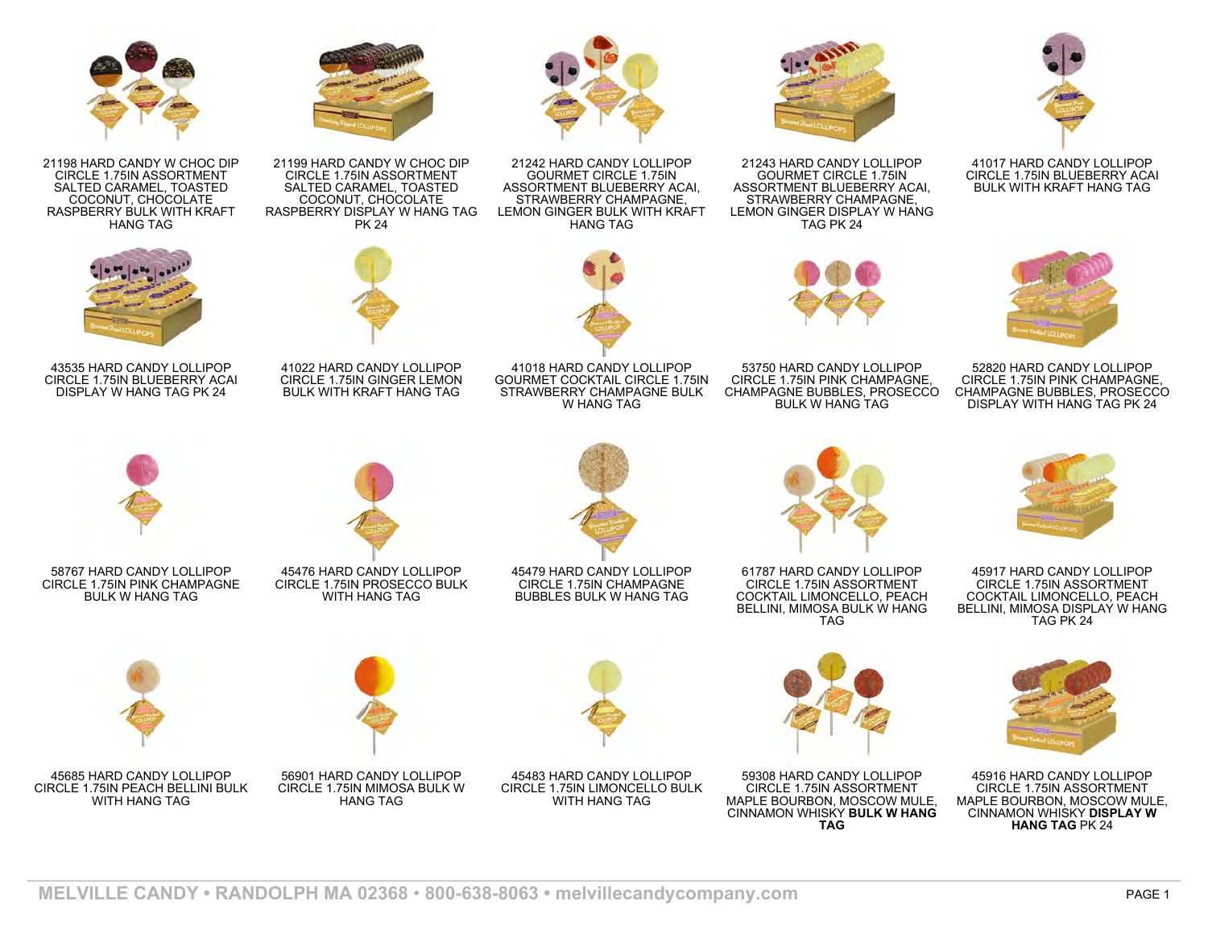

41017 HARD CANDY LOLLIPOP CIRCLE 1.75IN BLUEBERRY ACAI BULK WITH KRAFT HANG TAG



52820 HARD CANDY LOLLIPOP CIRCLE 1.75IN PINK CHAMPAGNE, CHAMPAGNE BUBBLES, PROSECCO DISPLAY WITH HANG TAG PK 24



21198 HARD CANDY W CHOC DIP CIRCLE 1.75IN ASSORTMENT SALTED CARAMEL, TOASTED COCONUT, CHOCOLATE RASPBERRY BULK WITH KRAFT HANG TAG



43535 HARD CANDY LOLLIPOP CIRCLE 1.75IN BLUEBERRY ACAI DISPLAY W HANG TAG PK 24



21242 HARD CANDY LOLLIPOP GOURMET CIRCLE 1.75IN ASSORTMENT BLUEBERRY ACAI, STRAWBERRY CHAMPAGNE, LEMON GINGER BULK WITH KRAFT HANG TAG



41018 HARD CANDY LOLLIPOP GOURMET COCKTAIL CIRCLE 1.75IN W HANG TAG



21243 HARD CANDY LOLLIPOP GOURMET CIRCLE 1.75IN ASSORTMENT BLUEBERRY ACAI, STRAWBERRY CHAMPAGNE, LEMON GINGER DISPLAY W HANG TAG PK 24

53750 HARD CANDY LOLLIPOP CIRCLE 1.75IN PINK CHAMPAGNE, CHAMPAGNE BUBBLES, PROSECCO BULK W HANG TAG



45917 HARD CANDY LOLLIPOP CIRCLE 1.75IN ASSORTMENT COCKTAIL LIMONCELLO, PEACH BELLINI, MIMOSA DISPLAY W HANG TAG PK 24



45916 HARD CANDY LOLLIPOP CIRCLE 1.75IN ASSORTMENT MAPLE BOURBON, MOSCOW MULE, CINNAMON WHISKY **DISPLAY W HANG TAG** PK 24



58767 HARD CANDY LOLLIPOP CIRCLE 1.75IN PINK CHAMPAGNE BULK W HANG TAG



45685 HARD CANDY LOLLIPOP CIRCLE 1.75IN PEACH BELLINI BULK WITH HANG TAG



45476 HARD CANDY LOLLIPOP CIRCLE 1.75IN PROSECCO BULK WITH HANG TAG

56901 HARD CANDY LOLLIPOP CIRCLE 1.75IN MIMOSA BULK W HANG TAG

45479 HARD CANDY LOLLIPOP CIRCLE 1.75IN CHAMPAGNE BUBBLES BULK W HANG TAG

45483 HARD CANDY LOLLIPOP CIRCLE 1.75IN LIMONCELLO BULK WITH HANG TAG



59308 HARD CANDY LOLLIPOP CIRCLE 1.75IN ASSORTMENT MAPLE BOURBON, MOSCOW MULE, CINNAMON WHISKY **BULK W HANG TAG**



41022 HARD CANDY LOLLIPOP CIRCLE 1.75IN GINGER LEMON BULK WITH KRAFT HANG TAG

STRAWBERRY CHAMPAGNE BULK



61787 HARD CANDY LOLLIPOP CIRCLE 1.75IN ASSORTMENT COCKTAIL LIMONCELLO, PEACH BELLINI, MIMOSA BULK W HANG TAG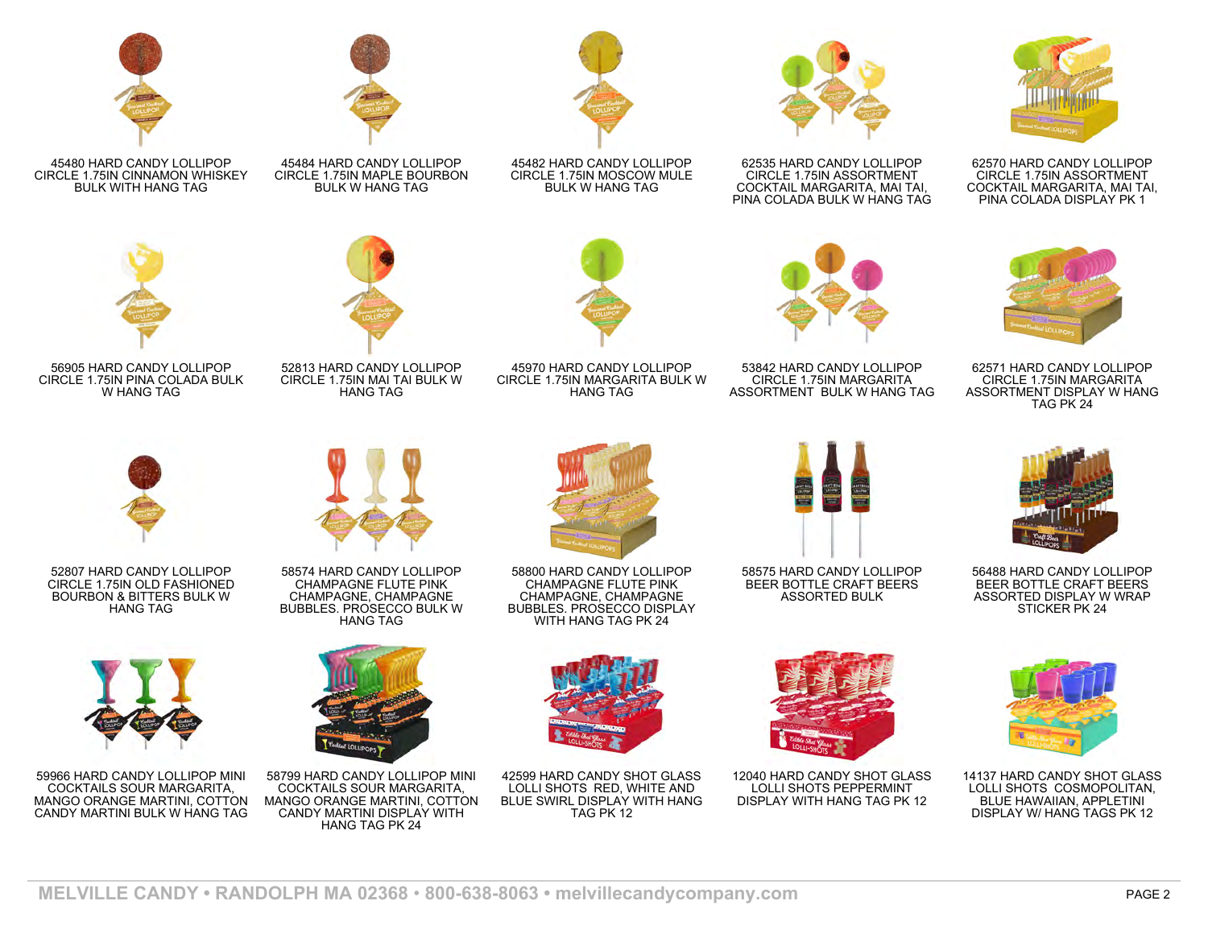

45480 HARD CANDY LOLLIPOP CIRCLE 1.75IN CINNAMON WHISKEY BULK WITH HANG TAG



45484 HARD CANDY LOLLIPOP CIRCLE 1.75IN MAPLE BOURBON BULK W HANG TAG





56905 HARD CANDY LOLLIPOP CIRCLE 1.75IN PINA COLADA BULK W HANG TAG

52813 HARD CANDY LOLLIPOP CIRCLE 1.75IN MAI TAI BULK W HANG TAG



45482 HARD CANDY LOLLIPOP CIRCLE 1.75IN MOSCOW MULE BULK W HANG TAG

CIRCLE 1.75IN MARGARITA BULK W HANG TAG



62535 HARD CANDY LOLLIPOP CIRCLE 1.75IN ASSORTMENT COCKTAIL MARGARITA, MAI TAI, PINA COLADA BULK W HANG TAG



53842 HARD CANDY LOLLIPOP CIRCLE 1.75IN MARGARITA ASSORTMENT BULK W HANG TAG



62570 HARD CANDY LOLLIPOP CIRCLE 1.75IN ASSORTMENT COCKTAIL MARGARITA, MAI TAI, PINA COLADA DISPLAY PK 1



62571 HARD CANDY LOLLIPOP CIRCLE 1.75IN MARGARITA ASSORTMENT DISPLAY W HANG TAG PK 24



52807 HARD CANDY LOLLIPOP CIRCLE 1.75IN OLD FASHIONED BOURBON & BITTERS BULK W HANG TAG



59966 HARD CANDY LOLLIPOP MINI COCKTAILS SOUR MARGARITA, MANGO ORANGE MARTINI, COTTON CANDY MARTINI BULK W HANG TAG



58574 HARD CANDY LOLLIPOP CHAMPAGNE FLUTE PINK CHAMPAGNE, CHAMPAGNE BUBBLES. PROSECCO BULK W HANG TAG



58799 HARD CANDY LOLLIPOP MINI COCKTAILS SOUR MARGARITA, MANGO ORANGE MARTINI, COTTON CANDY MARTINI DISPLAY WITH HANG TAG PK 24

58800 HARD CANDY LOLLIPOP CHAMPAGNE FLUTE PINK CHAMPAGNE, CHAMPAGNE BUBBLES. PROSECCO DISPLAY WITH HANG TAG PK 24



42599 HARD CANDY SHOT GLASS LOLLI SHOTS RED, WHITE AND BLUE SWIRL DISPLAY WITH HANG TAG PK 12



58575 HARD CANDY LOLLIPOP BEER BOTTLE CRAFT BEERS ASSORTED BULK



12040 HARD CANDY SHOT GLASS LOLLI SHOTS PEPPERMINT DISPLAY WITH HANG TAG PK 12



56488 HARD CANDY LOLLIPOP BEER BOTTLE CRAFT BEERS ASSORTED DISPLAY W WRAP STICKER PK 24



14137 HARD CANDY SHOT GLASS LOLLI SHOTS COSMOPOLITAN, BLUE HAWAIIAN, APPLETINI DISPLAY W/ HANG TAGS PK 12